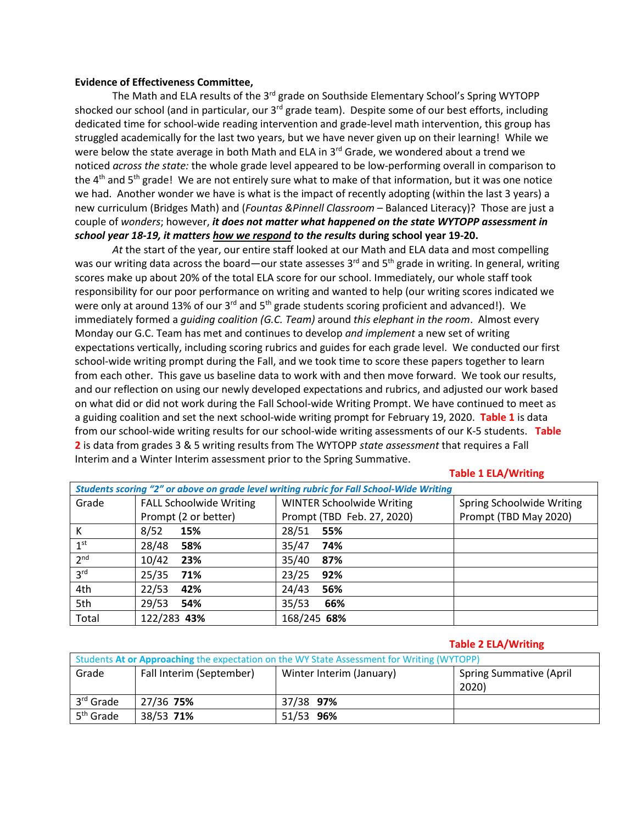## **Evidence of Effectiveness Committee,**

The Math and ELA results of the 3<sup>rd</sup> grade on Southside Elementary School's Spring WYTOPP shocked our school (and in particular, our  $3^{rd}$  grade team). Despite some of our best efforts, including dedicated time for school-wide reading intervention and grade-level math intervention, this group has struggled academically for the last two years, but we have never given up on their learning! While we were below the state average in both Math and ELA in  $3<sup>rd</sup>$  Grade, we wondered about a trend we noticed *across the state:* the whole grade level appeared to be low-performing overall in comparison to the  $4<sup>th</sup>$  and  $5<sup>th</sup>$  grade! We are not entirely sure what to make of that information, but it was one notice we had. Another wonder we have is what is the impact of recently adopting (within the last 3 years) a new curriculum (Bridges Math) and (*Fountas &Pinnell Classroom* – Balanced Literacy)? Those are just a couple of *wonders*; however, *it does not matter what happened on the state WYTOPP assessment in school year 18-19, it matters how we respond to the results* **during school year 19-20.**

*At* the start of the year, our entire staff looked at our Math and ELA data and most compelling was our writing data across the board—our state assesses 3<sup>rd</sup> and 5<sup>th</sup> grade in writing. In general, writing scores make up about 20% of the total ELA score for our school. Immediately, our whole staff took responsibility for our poor performance on writing and wanted to help (our writing scores indicated we were only at around 13% of our 3<sup>rd</sup> and 5<sup>th</sup> grade students scoring proficient and advanced!). We immediately formed a *guiding coalition (G.C. Team)* around *this elephant in the room*. Almost every Monday our G.C. Team has met and continues to develop *and implement* a new set of writing expectations vertically, including scoring rubrics and guides for each grade level. We conducted our first school-wide writing prompt during the Fall, and we took time to score these papers together to learn from each other. This gave us baseline data to work with and then move forward. We took our results, and our reflection on using our newly developed expectations and rubrics, and adjusted our work based on what did or did not work during the Fall School-wide Writing Prompt. We have continued to meet as a guiding coalition and set the next school-wide writing prompt for February 19, 2020. **Table 1** is data from our school-wide writing results for our school-wide writing assessments of our K-5 students. **Table 2** is data from grades 3 & 5 writing results from The WYTOPP *state assessment* that requires a Fall Interim and a Winter Interim assessment prior to the Spring Summative.

## **Table 1 ELA/Writing**

| Students scoring "2" or above on grade level writing rubric for Fall School-Wide Writing |                                |                                  |                           |  |  |  |  |  |  |
|------------------------------------------------------------------------------------------|--------------------------------|----------------------------------|---------------------------|--|--|--|--|--|--|
| Grade                                                                                    | <b>FALL Schoolwide Writing</b> | <b>WINTER Schoolwide Writing</b> | Spring Schoolwide Writing |  |  |  |  |  |  |
|                                                                                          | Prompt (2 or better)           | Prompt (TBD Feb. 27, 2020)       | Prompt (TBD May 2020)     |  |  |  |  |  |  |
| К                                                                                        | 8/52<br>15%                    | 28/51<br>55%                     |                           |  |  |  |  |  |  |
| 1 <sup>st</sup>                                                                          | 28/48<br>58%                   | 35/47<br>74%                     |                           |  |  |  |  |  |  |
| 2 <sup>nd</sup>                                                                          | 10/42<br>23%                   | 35/40<br>87%                     |                           |  |  |  |  |  |  |
| 3 <sup>rd</sup>                                                                          | 25/35<br>71%                   | 23/25<br>92%                     |                           |  |  |  |  |  |  |
| 4th                                                                                      | 22/53<br>42%                   | 24/43<br>56%                     |                           |  |  |  |  |  |  |
| 5th                                                                                      | 29/53<br>54%                   | 35/53<br>66%                     |                           |  |  |  |  |  |  |
| Total                                                                                    | 122/283 43%                    | 168/245 68%                      |                           |  |  |  |  |  |  |

## **Table 2 ELA/Writing**

| Students At or Approaching the expectation on the WY State Assessment for Writing (WYTOPP) |                          |                                        |  |  |  |  |  |  |
|--------------------------------------------------------------------------------------------|--------------------------|----------------------------------------|--|--|--|--|--|--|
| Grade                                                                                      | Fall Interim (September) | <b>Spring Summative (April</b><br>2020 |  |  |  |  |  |  |
| 3 <sup>rd</sup> Grade                                                                      | 27/36 75%                | 37/38 97%                              |  |  |  |  |  |  |
| 5 <sup>th</sup> Grade                                                                      | 38/53 71%                | 51/53 96%                              |  |  |  |  |  |  |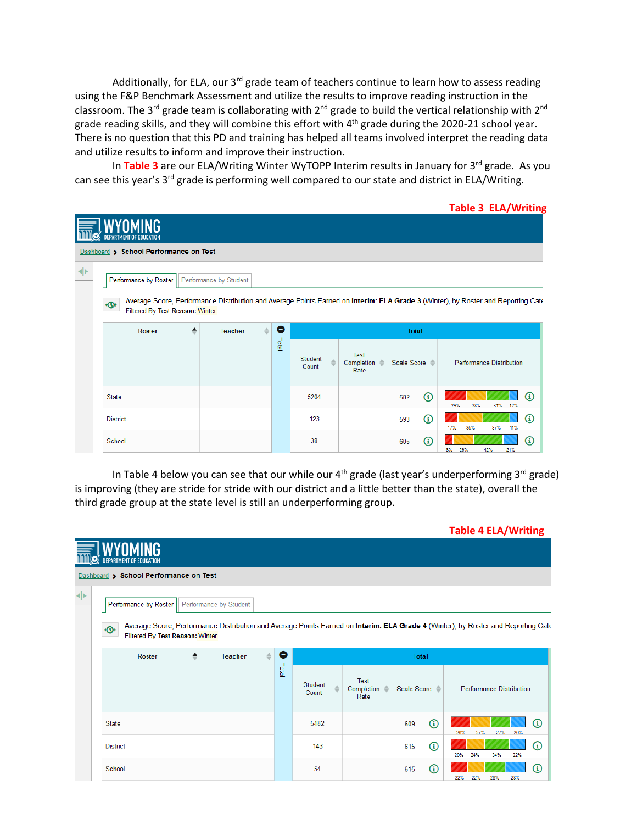Additionally, for ELA, our  $3^{rd}$  grade team of teachers continue to learn how to assess reading using the F&P Benchmark Assessment and utilize the results to improve reading instruction in the classroom. The 3<sup>rd</sup> grade team is collaborating with 2<sup>nd</sup> grade to build the vertical relationship with 2<sup>nd</sup> grade reading skills, and they will combine this effort with 4th grade during the 2020-21 school year. There is no question that this PD and training has helped all teams involved interpret the reading data and utilize results to inform and improve their instruction.

In Table 3 are our ELA/Writing Winter WyTOPP Interim results in January for 3<sup>rd</sup> grade. As you can see this year's 3<sup>rd</sup> grade is performing well compared to our state and district in ELA/Writing.

**Table 3 ELA/Writing**

|     | DEPARTMENT OF EDUCATION                          |                                 |              |                  |                            |                          |                                                                                                                                  |  |  |  |
|-----|--------------------------------------------------|---------------------------------|--------------|------------------|----------------------------|--------------------------|----------------------------------------------------------------------------------------------------------------------------------|--|--|--|
|     | <b>Dashboard &gt; School Performance on Test</b> |                                 |              |                  |                            |                          |                                                                                                                                  |  |  |  |
| ⊩ا≻ | Performance by Roster   Performance by Student   |                                 |              |                  |                            |                          |                                                                                                                                  |  |  |  |
|     | ∗®∙<br>Filtered By Test Reason: Winter           |                                 |              |                  |                            |                          | Average Score, Performance Distribution and Average Points Earned on Interim: ELA Grade 3 (Winter), by Roster and Reporting Cate |  |  |  |
|     | <b>Roster</b><br>≜                               | $\Rightarrow$<br><b>Teacher</b> | О            |                  |                            | <b>Total</b>             |                                                                                                                                  |  |  |  |
|     |                                                  |                                 | <b>Lotal</b> | Student<br>Count | Test<br>Completion<br>Rate | Scale Score <sup>2</sup> | <b>Performance Distribution</b>                                                                                                  |  |  |  |
|     | State                                            |                                 |              | 5204             |                            | $^{\circ}$<br>582        | $\Omega$<br>31% 12%<br>29%<br>28%                                                                                                |  |  |  |
|     | <b>District</b>                                  |                                 |              | 123              |                            | $\odot$<br>593           | ⊕<br>35%<br>37%<br>11%<br>17%                                                                                                    |  |  |  |
|     | School                                           |                                 |              | 38               |                            | $^{\circ}$<br>605        | ⋒<br>21%<br>$8\%$<br>29%<br>42%                                                                                                  |  |  |  |

In Table 4 below you can see that our while our  $4<sup>th</sup>$  grade (last year's underperforming 3<sup>rd</sup> grade) is improving (they are stride for stride with our district and a little better than the state), overall the third grade group at the state level is still an underperforming group.

|   |                                        |                                |       |                         |                            |                   | <b>Table 4 ELA/Writing</b>                                                                                                       |
|---|----------------------------------------|--------------------------------|-------|-------------------------|----------------------------|-------------------|----------------------------------------------------------------------------------------------------------------------------------|
|   | <b>DEPARTMENT OF EDUCATION</b>         |                                |       |                         |                            |                   |                                                                                                                                  |
|   | Dashboard > School Performance on Test |                                |       |                         |                            |                   |                                                                                                                                  |
| ◆ | Performance by Roster                  | Performance by Student         |       |                         |                            |                   |                                                                                                                                  |
|   | ۰®<br>Filtered By Test Reason: Winter  |                                |       |                         |                            |                   | Average Score, Performance Distribution and Average Points Earned on Interim: ELA Grade 4 (Winter), by Roster and Reporting Cate |
|   | ٠<br><b>Roster</b>                     | $\triangleq$<br><b>Teacher</b> | 0     |                         |                            | <b>Total</b>      |                                                                                                                                  |
|   |                                        |                                | Total | <b>Student</b><br>Count | Test<br>Completion<br>Rate | Scale Score =     | <b>Performance Distribution</b>                                                                                                  |
|   | State                                  |                                |       | 5482                    |                            | $\odot$<br>609    | $\Omega$<br>27%<br>27%<br>26%<br>20%                                                                                             |
|   | <b>District</b>                        |                                |       | 143                     |                            | $\bigcirc$<br>615 | $^{\copyright}$<br>20%<br>24%<br>34%<br>22%                                                                                      |
|   | School                                 |                                |       | 54                      |                            | $^{\circ}$<br>615 | $^{\rm \textregistered}$<br>22%<br>22%<br>28%<br>28%                                                                             |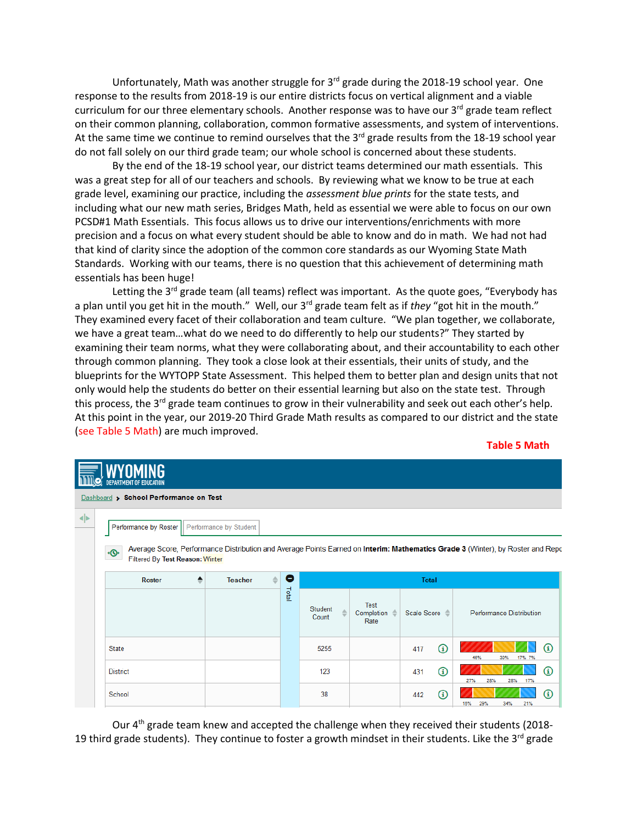Unfortunately, Math was another struggle for  $3<sup>rd</sup>$  grade during the 2018-19 school year. One response to the results from 2018-19 is our entire districts focus on vertical alignment and a viable curriculum for our three elementary schools. Another response was to have our  $3^{rd}$  grade team reflect on their common planning, collaboration, common formative assessments, and system of interventions. At the same time we continue to remind ourselves that the  $3<sup>rd</sup>$  grade results from the 18-19 school year do not fall solely on our third grade team; our whole school is concerned about these students.

By the end of the 18-19 school year, our district teams determined our math essentials. This was a great step for all of our teachers and schools. By reviewing what we know to be true at each grade level, examining our practice, including the *assessment blue prints* for the state tests, and including what our new math series, Bridges Math, held as essential we were able to focus on our own PCSD#1 Math Essentials. This focus allows us to drive our interventions/enrichments with more precision and a focus on what every student should be able to know and do in math. We had not had that kind of clarity since the adoption of the common core standards as our Wyoming State Math Standards. Working with our teams, there is no question that this achievement of determining math essentials has been huge!

Letting the 3<sup>rd</sup> grade team (all teams) reflect was important. As the quote goes, "Everybody has a plan until you get hit in the mouth." Well, our 3<sup>rd</sup> grade team felt as if *they* "got hit in the mouth." They examined every facet of their collaboration and team culture. "We plan together, we collaborate, we have a great team…what do we need to do differently to help our students?" They started by examining their team norms, what they were collaborating about, and their accountability to each other through common planning. They took a close look at their essentials, their units of study, and the blueprints for the WYTOPP State Assessment. This helped them to better plan and design units that not only would help the students do better on their essential learning but also on the state test. Through this process, the 3<sup>rd</sup> grade team continues to grow in their vulnerability and seek out each other's help. At this point in the year, our 2019-20 Third Grade Math results as compared to our district and the state (see Table 5 Math) are much improved.

## **Table 5 Math**

|   | DEPARTMENT OF EDUCATION                |                                 |              |                                  |                                         |                          |                                                                                                                                |  |  |  |  |
|---|----------------------------------------|---------------------------------|--------------|----------------------------------|-----------------------------------------|--------------------------|--------------------------------------------------------------------------------------------------------------------------------|--|--|--|--|
|   | Dashboard > School Performance on Test |                                 |              |                                  |                                         |                          |                                                                                                                                |  |  |  |  |
| ◆ | Performance by Roster                  | Performance by Student          |              |                                  |                                         |                          |                                                                                                                                |  |  |  |  |
|   | ۰®<br>Filtered By Test Reason: Winter  |                                 |              |                                  |                                         |                          | Average Score, Performance Distribution and Average Points Earned on Interim: Mathematics Grade 3 (Winter), by Roster and Repc |  |  |  |  |
|   | <b>Roster</b>                          | $\Rightarrow$<br><b>Teacher</b> | О            |                                  |                                         | <b>Total</b>             |                                                                                                                                |  |  |  |  |
|   |                                        |                                 | <b>Letal</b> | Student<br>$\triangleq$<br>Count | Test<br>Completion $\triangleq$<br>Rate | Scale Score <sup>2</sup> | Performance Distribution                                                                                                       |  |  |  |  |
|   | <b>State</b>                           |                                 |              | 5255                             |                                         | $^{\circ}$<br>417        | $\Omega$<br>46%<br>17% 7%<br>30%                                                                                               |  |  |  |  |
|   | <b>District</b>                        |                                 |              | 123                              |                                         | $^{\circ}$<br>431        | ⋒<br>17%<br>27%<br>28%<br>28%                                                                                                  |  |  |  |  |
|   | School                                 |                                 |              | 38                               |                                         | $\Omega$<br>442          | $\Omega$<br>29%<br>21%<br>16%<br>34%                                                                                           |  |  |  |  |

Our 4<sup>th</sup> grade team knew and accepted the challenge when they received their students (2018-19 third grade students). They continue to foster a growth mindset in their students. Like the  $3^{rd}$  grade